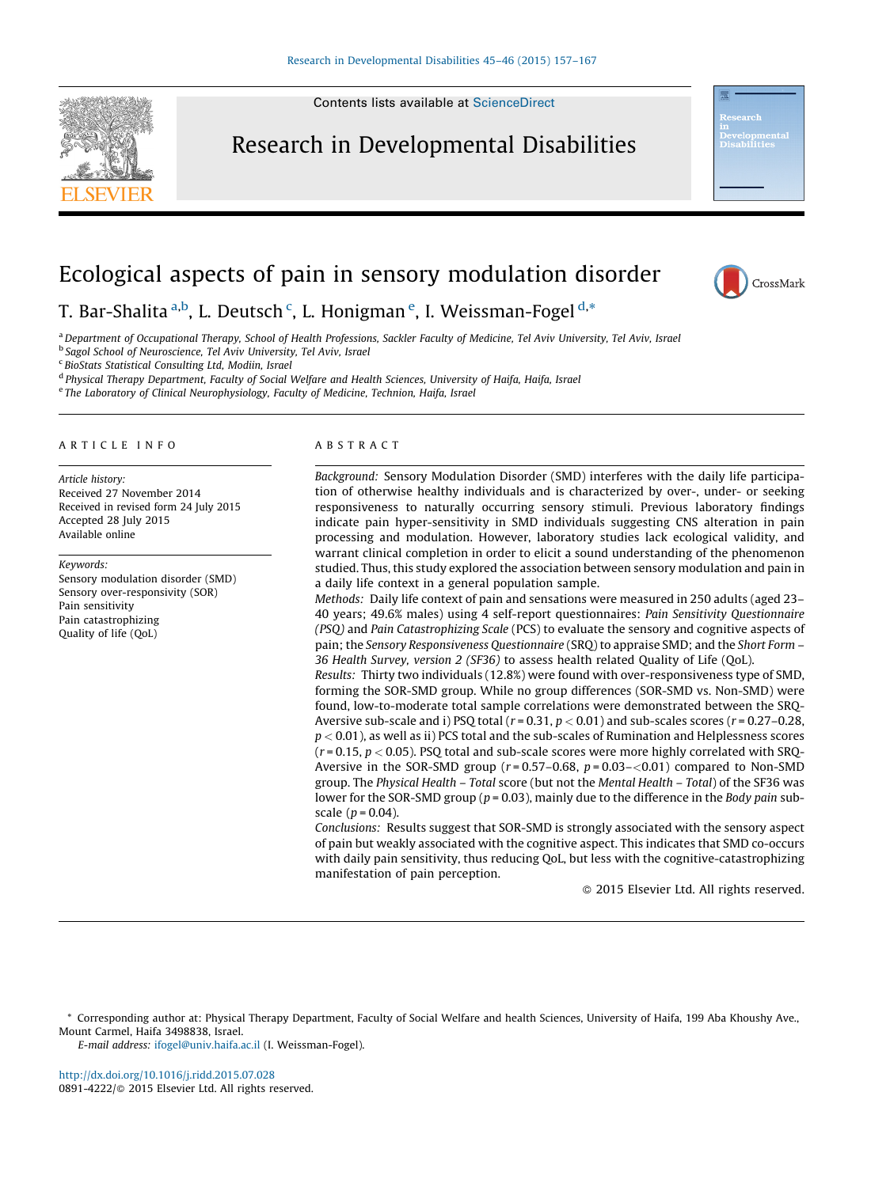Contents lists available at [ScienceDirect](http://www.sciencedirect.com/science/journal/08914222)

# Research in Developmental Disabilities

# Ecological aspects of pain in sensory modulation disorder

## T. Bar-Shalita <sup>a,b</sup>, L. Deutsch <sup>c</sup>, L. Honigman <sup>e</sup>, I. Weissman-Fogel <sup>d,</sup>\*

a Department of Occupational Therapy, School of Health Professions, Sackler Faculty of Medicine, Tel Aviv, University, Tel Aviv, Israel <sup>b</sup> Sagol School of Neuroscience, Tel Aviv University, Tel Aviv, Israel

<sup>c</sup> BioStats Statistical Consulting Ltd, Modiin, Israel

<sup>d</sup> Physical Therapy Department, Faculty of Social Welfare and Health Sciences, University of Haifa, Haifa, Israel

e The Laboratory of Clinical Neurophysiology, Faculty of Medicine, Technion, Haifa, Israel

#### ARTICLE INFO

Article history: Received 27 November 2014 Received in revised form 24 July 2015 Accepted 28 July 2015 Available online

Keywords:

Sensory modulation disorder (SMD) Sensory over-responsivity (SOR) Pain sensitivity Pain catastrophizing Quality of life (QoL)

## ABSTRACT

Background: Sensory Modulation Disorder (SMD) interferes with the daily life participation of otherwise healthy individuals and is characterized by over-, under- or seeking responsiveness to naturally occurring sensory stimuli. Previous laboratory findings indicate pain hyper-sensitivity in SMD individuals suggesting CNS alteration in pain processing and modulation. However, laboratory studies lack ecological validity, and warrant clinical completion in order to elicit a sound understanding of the phenomenon studied. Thus, this study explored the association between sensory modulation and pain in a daily life context in a general population sample.

Methods: Daily life context of pain and sensations were measured in 250 adults (aged 23– 40 years; 49.6% males) using 4 self-report questionnaires: Pain Sensitivity Questionnaire (PSQ) and Pain Catastrophizing Scale (PCS) to evaluate the sensory and cognitive aspects of pain; the Sensory Responsiveness Questionnaire (SRQ) to appraise SMD; and the Short Form – 36 Health Survey, version 2 (SF36) to assess health related Quality of Life (QoL).

Results: Thirty two individuals (12.8%) were found with over-responsiveness type of SMD, forming the SOR-SMD group. While no group differences (SOR-SMD vs. Non-SMD) were found, low-to-moderate total sample correlations were demonstrated between the SRQ-Aversive sub-scale and i) PSQ total ( $r = 0.31$ ,  $p < 0.01$ ) and sub-scales scores ( $r = 0.27 - 0.28$ ,  $p < 0.01$ ), as well as ii) PCS total and the sub-scales of Rumination and Helplessness scores  $(r = 0.15, p < 0.05)$ . PSQ total and sub-scale scores were more highly correlated with SRQ-Aversive in the SOR-SMD group ( $r = 0.57-0.68$ ,  $p = 0.03 -  $0.01$ ) compared to Non-SMD$ group. The Physical Health – Total score (but not the Mental Health – Total) of the SF36 was lower for the SOR-SMD group ( $p = 0.03$ ), mainly due to the difference in the Body pain subscale ( $p = 0.04$ ).

Conclusions: Results suggest that SOR-SMD is strongly associated with the sensory aspect of pain but weakly associated with the cognitive aspect. This indicates that SMD co-occurs with daily pain sensitivity, thus reducing QoL, but less with the cognitive-catastrophizing manifestation of pain perception.

- 2015 Elsevier Ltd. All rights reserved.

\* Corresponding author at: Physical Therapy Department, Faculty of Social Welfare and health Sciences, University of Haifa, 199 Aba Khoushy Ave., Mount Carmel, Haifa 3498838, Israel.

E-mail address: [ifogel@univ.haifa.ac.il](mailto:ifogel@univ.haifa.ac.il) (I. Weissman-Fogel).

<http://dx.doi.org/10.1016/j.ridd.2015.07.028> 0891-4222/© 2015 Elsevier Ltd. All rights reserved.



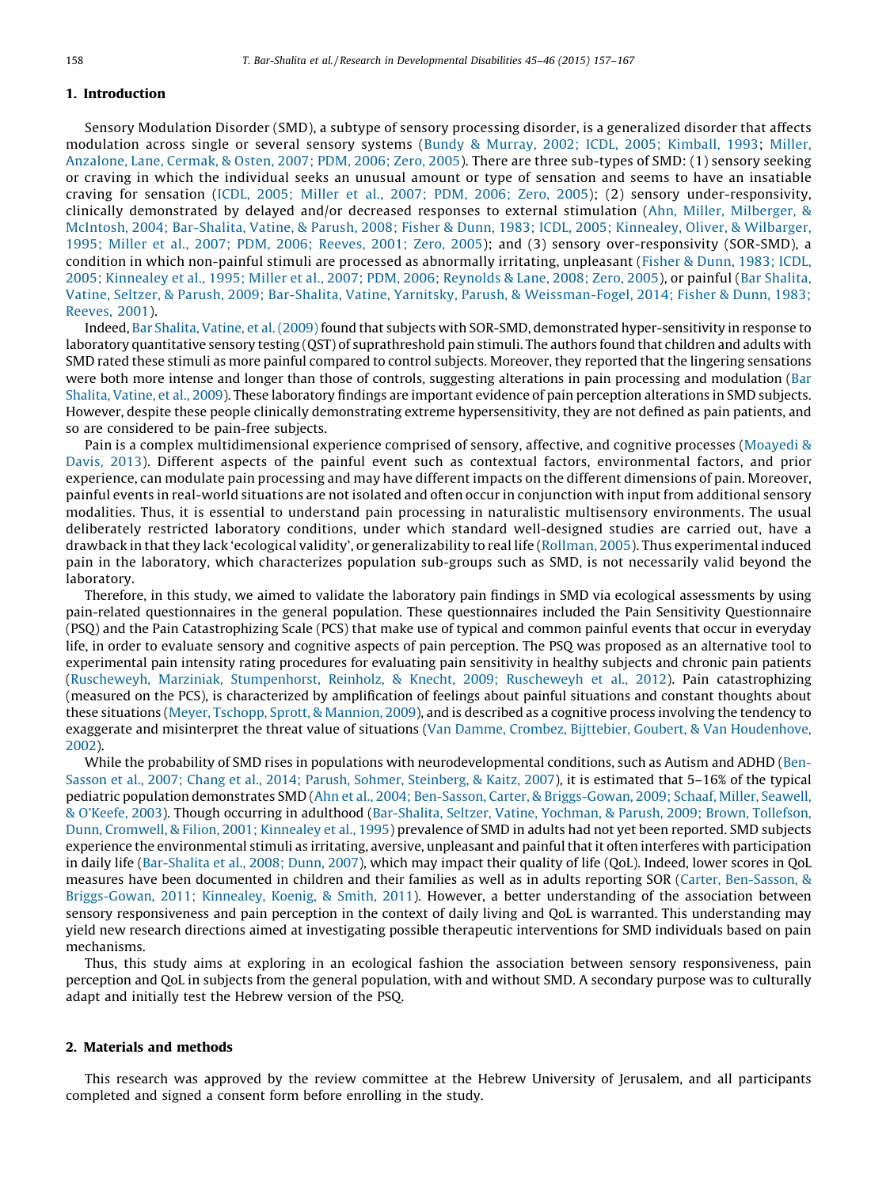## 1. Introduction

Sensory Modulation Disorder (SMD), a subtype of sensory processing disorder, is a generalized disorder that affects modulation across single or several sensory systems ([Bundy & Murray, 2002; ICDL, 2005; Kimball, 1993;](#page-9-0) [Miller,](#page-9-0) [Anzalone, Lane, Cermak, & Osten, 2007; PDM, 2006; Zero, 2005\)](#page-9-0). There are three sub-types of SMD: (1) sensory seeking or craving in which the individual seeks an unusual amount or type of sensation and seems to have an insatiable craving for sensation ([ICDL, 2005; Miller et al., 2007; PDM, 2006; Zero, 2005](#page-9-0)); (2) sensory under-responsivity, clinically demonstrated by delayed and/or decreased responses to external stimulation [\(Ahn, Miller, Milberger, &](#page-8-0) [McIntosh, 2004; Bar-Shalita, Vatine, & Parush, 2008; Fisher & Dunn, 1983; ICDL, 2005; Kinnealey, Oliver, & Wilbarger,](#page-8-0) [1995; Miller et al., 2007; PDM, 2006; Reeves, 2001; Zero, 2005](#page-8-0)); and (3) sensory over-responsivity (SOR-SMD), a condition in which non-painful stimuli are processed as abnormally irritating, unpleasant [\(Fisher & Dunn, 1983; ICDL,](#page-9-0) [2005; Kinnealey et al., 1995; Miller et al., 2007; PDM, 2006; Reynolds & Lane, 2008; Zero, 2005](#page-9-0)), or painful ([Bar Shalita,](#page-8-0) [Vatine, Seltzer, & Parush, 2009; Bar-Shalita, Vatine, Yarnitsky, Parush, & Weissman-Fogel, 2014; Fisher & Dunn, 1983;](#page-8-0) [Reeves, 2001](#page-8-0)).

Indeed, [Bar Shalita, Vatine, et al. \(2009\)](#page-8-0) found that subjects with SOR-SMD, demonstrated hyper-sensitivity in response to laboratory quantitative sensory testing (QST) of suprathreshold pain stimuli. The authors found that children and adults with SMD rated these stimuli as more painful compared to control subjects. Moreover, they reported that the lingering sensations were both more intense and longer than those of controls, suggesting alterations in pain processing and modulation ([Bar](#page-8-0) [Shalita, Vatine, et al., 2009\)](#page-8-0). These laboratory findings are important evidence of pain perception alterations in SMD subjects. However, despite these people clinically demonstrating extreme hypersensitivity, they are not defined as pain patients, and so are considered to be pain-free subjects.

Pain is a complex multidimensional experience comprised of sensory, affective, and cognitive processes [\(Moayedi &](#page-9-0) [Davis, 2013\)](#page-9-0). Different aspects of the painful event such as contextual factors, environmental factors, and prior experience, can modulate pain processing and may have different impacts on the different dimensions of pain. Moreover, painful events in real-world situations are not isolated and often occur in conjunction with input from additional sensory modalities. Thus, it is essential to understand pain processing in naturalistic multisensory environments. The usual deliberately restricted laboratory conditions, under which standard well-designed studies are carried out, have a drawback in that they lack 'ecological validity', or generalizability to real life ([Rollman, 2005\)](#page-9-0). Thus experimental induced pain in the laboratory, which characterizes population sub-groups such as SMD, is not necessarily valid beyond the laboratory.

Therefore, in this study, we aimed to validate the laboratory pain findings in SMD via ecological assessments by using pain-related questionnaires in the general population. These questionnaires included the Pain Sensitivity Questionnaire (PSQ) and the Pain Catastrophizing Scale (PCS) that make use of typical and common painful events that occur in everyday life, in order to evaluate sensory and cognitive aspects of pain perception. The PSQ was proposed as an alternative tool to experimental pain intensity rating procedures for evaluating pain sensitivity in healthy subjects and chronic pain patients [\(Ruscheweyh, Marziniak, Stumpenhorst, Reinholz, & Knecht, 2009; Ruscheweyh et al., 2012\)](#page-9-0). Pain catastrophizing (measured on the PCS), is characterized by amplification of feelings about painful situations and constant thoughts about these situations ([Meyer, Tschopp, Sprott, & Mannion, 2009](#page-9-0)), and is described as a cognitive process involving the tendency to exaggerate and misinterpret the threat value of situations [\(Van Damme, Crombez, Bijttebier, Goubert, & Van Houdenhove,](#page-10-0) [2002](#page-10-0)).

While the probability of SMD rises in populations with neurodevelopmental conditions, such as Autism and ADHD ([Ben-](#page-8-0)[Sasson et al., 2007; Chang et al., 2014; Parush, Sohmer, Steinberg, & Kaitz, 2007](#page-8-0)), it is estimated that 5–16% of the typical pediatric population demonstrates SMD ([Ahn et al., 2004; Ben-Sasson, Carter, & Briggs-Gowan, 2009; Schaaf, Miller, Seawell,](#page-8-0) [& O'Keefe, 2003\)](#page-8-0). Though occurring in adulthood [\(Bar-Shalita, Seltzer, Vatine, Yochman, & Parush, 2009; Brown, Tollefson,](#page-8-0) [Dunn, Cromwell, & Filion, 2001; Kinnealey et al., 1995\)](#page-8-0) prevalence of SMD in adults had not yet been reported. SMD subjects experience the environmental stimuli as irritating, aversive, unpleasant and painful that it often interferes with participation in daily life [\(Bar-Shalita et al., 2008; Dunn, 2007](#page-8-0)), which may impact their quality of life (QoL). Indeed, lower scores in QoL measures have been documented in children and their families as well as in adults reporting SOR [\(Carter, Ben-Sasson, &](#page-9-0) [Briggs-Gowan, 2011; Kinnealey, Koenig, & Smith, 2011\)](#page-9-0). However, a better understanding of the association between sensory responsiveness and pain perception in the context of daily living and QoL is warranted. This understanding may yield new research directions aimed at investigating possible therapeutic interventions for SMD individuals based on pain mechanisms.

Thus, this study aims at exploring in an ecological fashion the association between sensory responsiveness, pain perception and QoL in subjects from the general population, with and without SMD. A secondary purpose was to culturally adapt and initially test the Hebrew version of the PSQ.

#### 2. Materials and methods

This research was approved by the review committee at the Hebrew University of Jerusalem, and all participants completed and signed a consent form before enrolling in the study.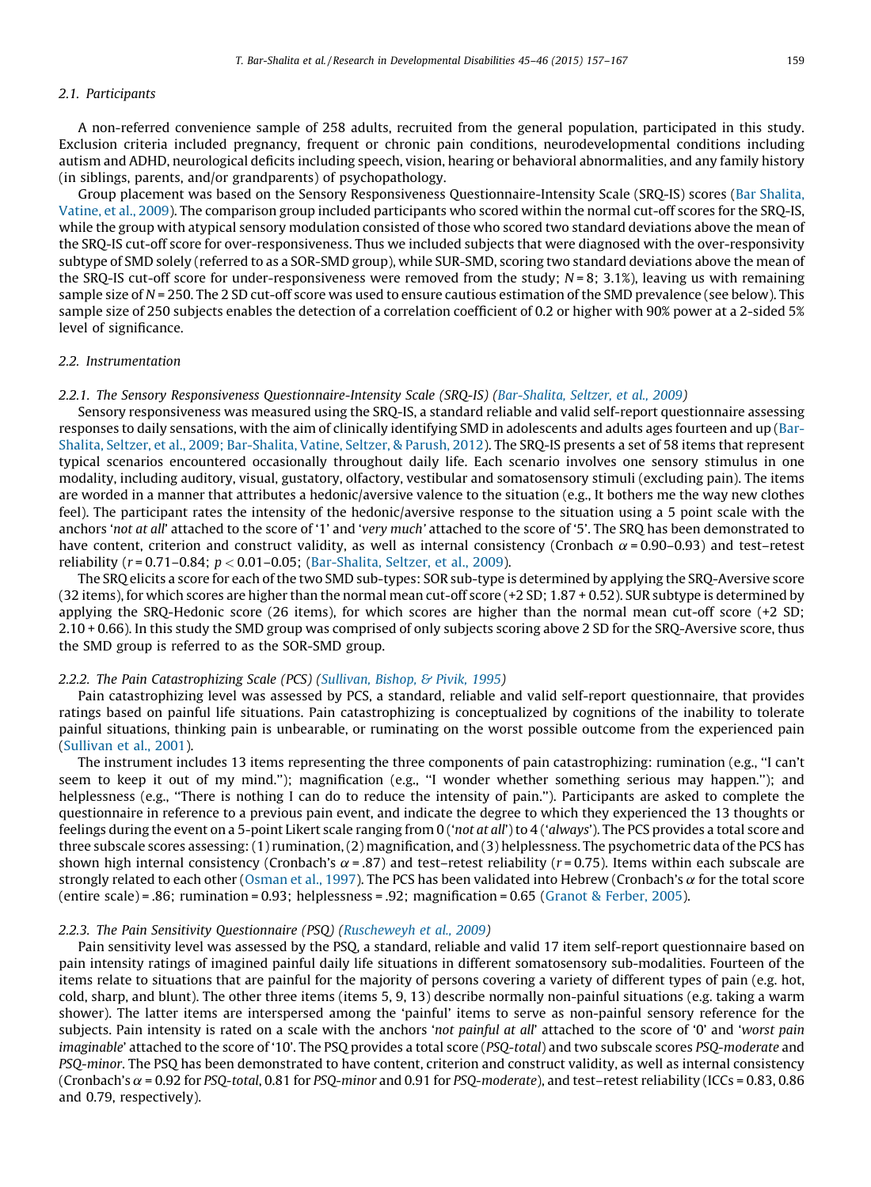#### 2.1. Participants

A non-referred convenience sample of 258 adults, recruited from the general population, participated in this study. Exclusion criteria included pregnancy, frequent or chronic pain conditions, neurodevelopmental conditions including autism and ADHD, neurological deficits including speech, vision, hearing or behavioral abnormalities, and any family history (in siblings, parents, and/or grandparents) of psychopathology.

Group placement was based on the Sensory Responsiveness Questionnaire-Intensity Scale (SRQ-IS) scores ([Bar Shalita,](#page-8-0) [Vatine, et al., 2009\)](#page-8-0). The comparison group included participants who scored within the normal cut-off scores for the SRQ-IS, while the group with atypical sensory modulation consisted of those who scored two standard deviations above the mean of the SRQ-IS cut-off score for over-responsiveness. Thus we included subjects that were diagnosed with the over-responsivity subtype of SMD solely (referred to as a SOR-SMD group), while SUR-SMD, scoring two standard deviations above the mean of the SRO-IS cut-off score for under-responsiveness were removed from the study;  $N = 8$ ; 3.1%), leaving us with remaining sample size of N = 250. The 2 SD cut-off score was used to ensure cautious estimation of the SMD prevalence (see below). This sample size of 250 subjects enables the detection of a correlation coefficient of 0.2 or higher with 90% power at a 2-sided 5% level of significance.

#### 2.2. Instrumentation

#### 2.2.1. The Sensory Responsiveness Questionnaire-Intensity Scale (SRQ-IS) [\(Bar-Shalita, Seltzer, et al., 2009\)](#page-8-0)

Sensory responsiveness was measured using the SRQ-IS, a standard reliable and valid self-report questionnaire assessing responses to daily sensations, with the aim of clinically identifying SMD in adolescents and adults ages fourteen and up [\(Bar-](#page-8-0)[Shalita, Seltzer, et al., 2009; Bar-Shalita, Vatine, Seltzer, & Parush, 2012](#page-8-0)). The SRQ-IS presents a set of 58 items that represent typical scenarios encountered occasionally throughout daily life. Each scenario involves one sensory stimulus in one modality, including auditory, visual, gustatory, olfactory, vestibular and somatosensory stimuli (excluding pain). The items are worded in a manner that attributes a hedonic/aversive valence to the situation (e.g., It bothers me the way new clothes feel). The participant rates the intensity of the hedonic/aversive response to the situation using a 5 point scale with the anchors 'not at all' attached to the score of '1' and 'very much' attached to the score of '5'. The SRQ has been demonstrated to have content, criterion and construct validity, as well as internal consistency (Cronbach  $\alpha$  = 0.90–0.93) and test–retest reliability ( $r = 0.71 - 0.84$ ;  $p < 0.01 - 0.05$ ; ([Bar-Shalita, Seltzer, et al., 2009\)](#page-8-0).

The SRQ elicits a score for each of the two SMD sub-types: SOR sub-type is determined by applying the SRQ-Aversive score (32 items), for which scores are higher than the normal mean cut-off score (+2 SD; 1.87 + 0.52). SUR subtype is determined by applying the SRQ-Hedonic score (26 items), for which scores are higher than the normal mean cut-off score (+2 SD; 2.10 + 0.66). In this study the SMD group was comprised of only subjects scoring above 2 SD for the SRQ-Aversive score, thus the SMD group is referred to as the SOR-SMD group.

#### 2.2.2. The Pain Catastrophizing Scale (PCS) [\(Sullivan, Bishop, & Pivik, 1995](#page-9-0))

Pain catastrophizing level was assessed by PCS, a standard, reliable and valid self-report questionnaire, that provides ratings based on painful life situations. Pain catastrophizing is conceptualized by cognitions of the inability to tolerate painful situations, thinking pain is unbearable, or ruminating on the worst possible outcome from the experienced pain ([Sullivan et al., 2001](#page-10-0)).

The instrument includes 13 items representing the three components of pain catastrophizing: rumination (e.g., ''I can't seem to keep it out of my mind."); magnification (e.g., "I wonder whether something serious may happen."); and helplessness (e.g., "There is nothing I can do to reduce the intensity of pain."). Participants are asked to complete the questionnaire in reference to a previous pain event, and indicate the degree to which they experienced the 13 thoughts or feelings during the event on a 5-point Likert scale ranging from 0 ('not at all') to 4 ('always'). The PCS provides a total score and three subscale scores assessing: (1) rumination, (2) magnification, and (3) helplessness. The psychometric data of the PCS has shown high internal consistency (Cronbach's  $\alpha$  = .87) and test–retest reliability ( $r$  = 0.75). Items within each subscale are strongly related to each other [\(Osman et al., 1997\)](#page-9-0). The PCS has been validated into Hebrew (Cronbach's  $\alpha$  for the total score (entire scale) = .86; rumination = 0.93; helplessness = .92; magnification = 0.65 [\(Granot & Ferber, 2005\)](#page-9-0).

#### 2.2.3. The Pain Sensitivity Questionnaire (PSQ) ([Ruscheweyh et al., 2009\)](#page-9-0)

Pain sensitivity level was assessed by the PSQ, a standard, reliable and valid 17 item self-report questionnaire based on pain intensity ratings of imagined painful daily life situations in different somatosensory sub-modalities. Fourteen of the items relate to situations that are painful for the majority of persons covering a variety of different types of pain (e.g. hot, cold, sharp, and blunt). The other three items (items 5, 9, 13) describe normally non-painful situations (e.g. taking a warm shower). The latter items are interspersed among the 'painful' items to serve as non-painful sensory reference for the subjects. Pain intensity is rated on a scale with the anchors 'not painful at all' attached to the score of '0' and 'worst pain imaginable' attached to the score of '10'. The PSQ provides a total score (PSQ-total) and two subscale scores PSQ-moderate and PSQ-minor. The PSQ has been demonstrated to have content, criterion and construct validity, as well as internal consistency (Cronbach's  $\alpha$  = 0.92 for PSQ-total, 0.81 for PSQ-minor and 0.91 for PSQ-moderate), and test–retest reliability (ICCs = 0.83, 0.86 and 0.79, respectively).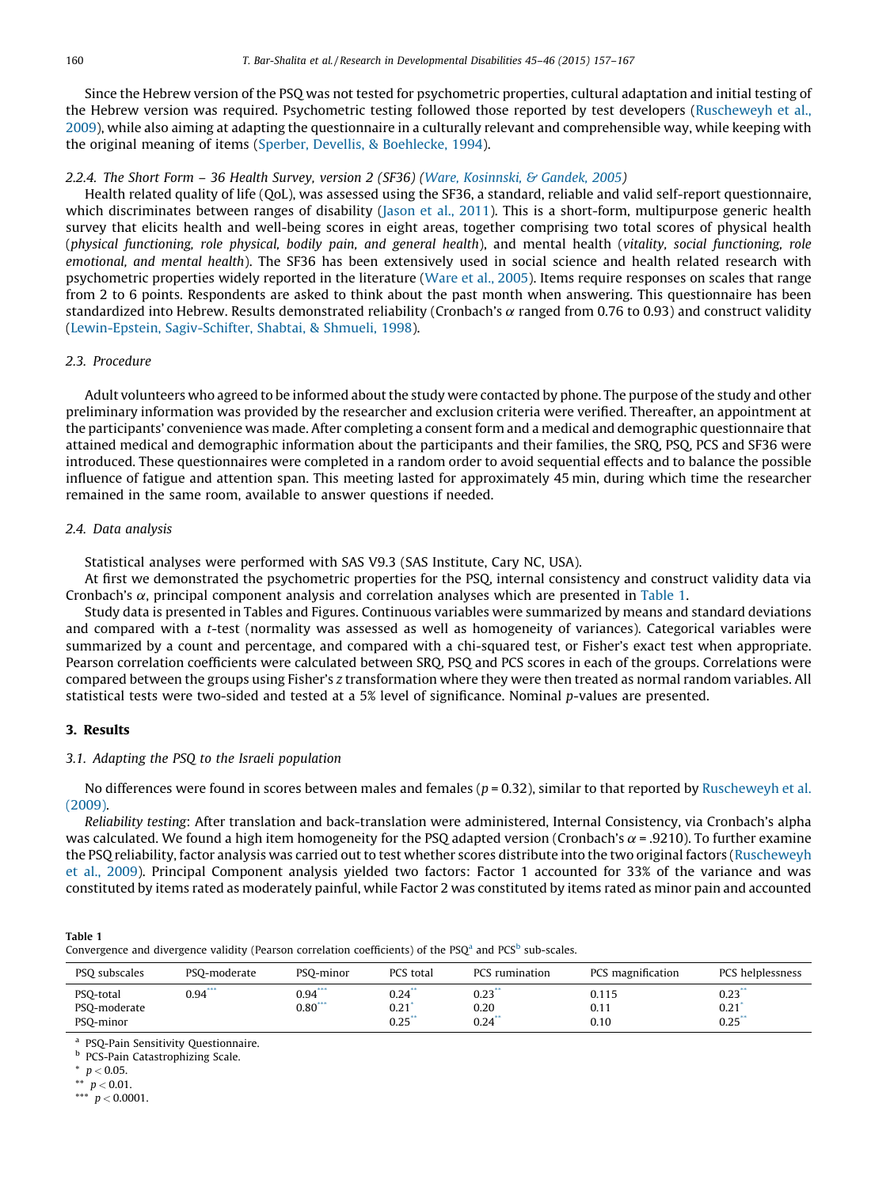<span id="page-3-0"></span>Since the Hebrew version of the PSQ was not tested for psychometric properties, cultural adaptation and initial testing of the Hebrew version was required. Psychometric testing followed those reported by test developers ([Ruscheweyh et al.,](#page-9-0) [2009](#page-9-0)), while also aiming at adapting the questionnaire in a culturally relevant and comprehensible way, while keeping with the original meaning of items ([Sperber, Devellis, & Boehlecke, 1994\)](#page-9-0).

### 2.2.4. The Short Form – 36 Health Survey, version 2 (SF36) ([Ware, Kosinnski, & Gandek, 2005\)](#page-10-0)

Health related quality of life (QoL), was assessed using the SF36, a standard, reliable and valid self-report questionnaire, which discriminates between ranges of disability [\(Jason et al., 2011](#page-9-0)). This is a short-form, multipurpose generic health survey that elicits health and well-being scores in eight areas, together comprising two total scores of physical health (physical functioning, role physical, bodily pain, and general health), and mental health (vitality, social functioning, role emotional, and mental health). The SF36 has been extensively used in social science and health related research with psychometric properties widely reported in the literature ([Ware et al., 2005](#page-10-0)). Items require responses on scales that range from 2 to 6 points. Respondents are asked to think about the past month when answering. This questionnaire has been standardized into Hebrew. Results demonstrated reliability (Cronbach's  $\alpha$  ranged from 0.76 to 0.93) and construct validity [\(Lewin-Epstein, Sagiv-Schifter, Shabtai, & Shmueli, 1998\)](#page-9-0).

#### 2.3. Procedure

Adult volunteers who agreed to be informed about the study were contacted by phone. The purpose of the study and other preliminary information was provided by the researcher and exclusion criteria were verified. Thereafter, an appointment at the participants' convenience was made. After completing a consent form and a medical and demographic questionnaire that attained medical and demographic information about the participants and their families, the SRQ, PSQ, PCS and SF36 were introduced. These questionnaires were completed in a random order to avoid sequential effects and to balance the possible influence of fatigue and attention span. This meeting lasted for approximately 45 min, during which time the researcher remained in the same room, available to answer questions if needed.

### 2.4. Data analysis

Statistical analyses were performed with SAS V9.3 (SAS Institute, Cary NC, USA).

At first we demonstrated the psychometric properties for the PSQ, internal consistency and construct validity data via Cronbach's  $\alpha$ , principal component analysis and correlation analyses which are presented in Table 1.

Study data is presented in Tables and Figures. Continuous variables were summarized by means and standard deviations and compared with a t-test (normality was assessed as well as homogeneity of variances). Categorical variables were summarized by a count and percentage, and compared with a chi-squared test, or Fisher's exact test when appropriate. Pearson correlation coefficients were calculated between SRQ, PSQ and PCS scores in each of the groups. Correlations were compared between the groups using Fisher's z transformation where they were then treated as normal random variables. All statistical tests were two-sided and tested at a 5% level of significance. Nominal p-values are presented.

#### 3. Results

#### 3.1. Adapting the PSQ to the Israeli population

No differences were found in scores between males and females ( $p = 0.32$ ), similar to that reported by [Ruscheweyh et al.](#page-9-0) [\(2009\)](#page-9-0).

Reliability testing: After translation and back-translation were administered, Internal Consistency, via Cronbach's alpha was calculated. We found a high item homogeneity for the PSQ adapted version (Cronbach's  $\alpha$  = .9210). To further examine the PSQ reliability, factor analysis was carried out to test whether scores distribute into the two original factors [\(Ruscheweyh](#page-9-0) [et al., 2009](#page-9-0)). Principal Component analysis yielded two factors: Factor 1 accounted for 33% of the variance and was constituted by items rated as moderately painful, while Factor 2 was constituted by items rated as minor pain and accounted

Table 1 Convergence and divergence validity (Pearson correlation coefficients) of the PSO<sup>a</sup> and PCS<sup>b</sup> sub-scales.

| PSO subscales                          | PSO-moderate    | PSO-minor                 | PCS total            | PCS rumination       | PCS magnification     | PCS helplessness     |
|----------------------------------------|-----------------|---------------------------|----------------------|----------------------|-----------------------|----------------------|
| PSO-total<br>PSO-moderate<br>PSQ-minor | $0.94$ $\ddots$ | $0.94$ $\cdots$<br>$0.80$ | 0.24<br>0.21<br>0.25 | 0.23<br>0.20<br>0.24 | 0.115<br>0.11<br>0.10 | 0.23<br>0.21<br>0.25 |

PSQ-Pain Sensitivity Questionnaire.

**b** PCS-Pain Catastrophizing Scale.

 $p < 0.05$ .

 $p < 0.01$ .

\*\*\*  $p < 0.0001$ .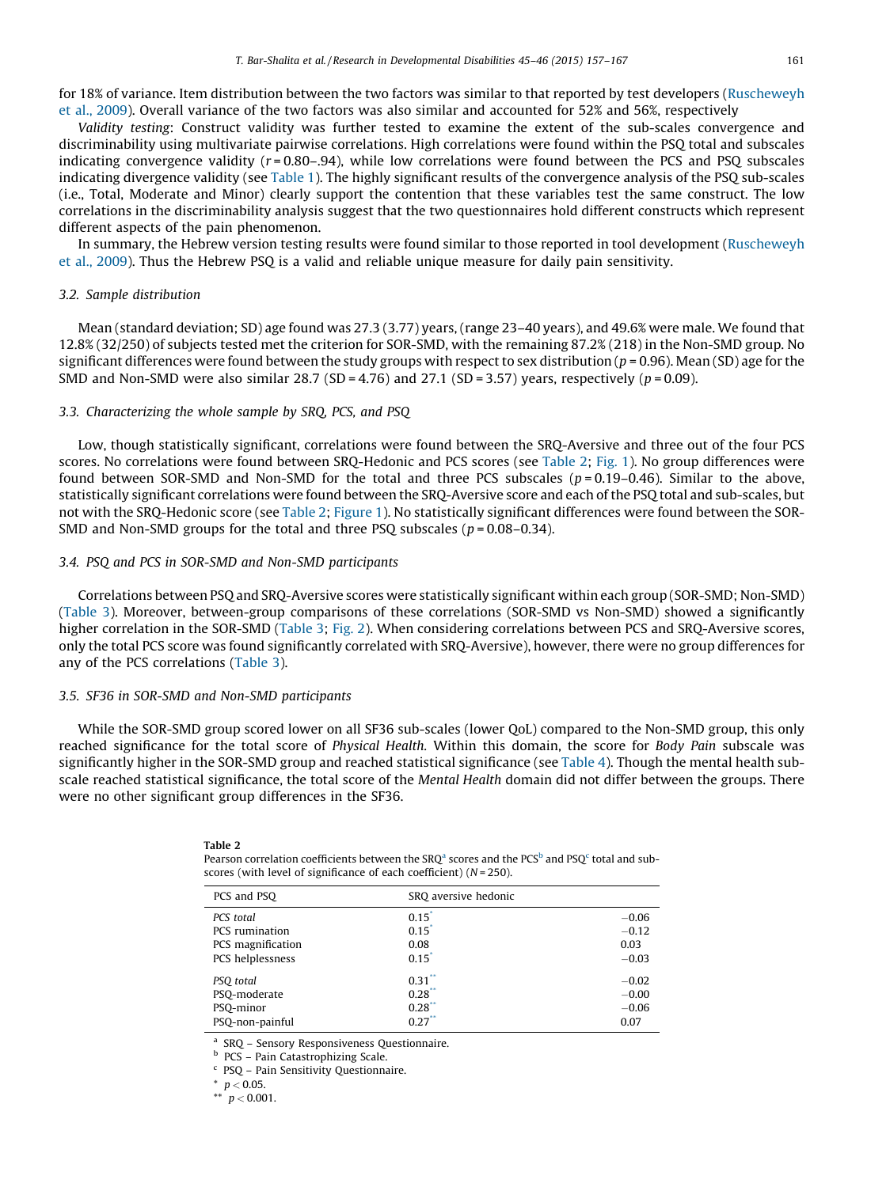for 18% of variance. Item distribution between the two factors was similar to that reported by test developers [\(Ruscheweyh](#page-9-0) [et al., 2009\)](#page-9-0). Overall variance of the two factors was also similar and accounted for 52% and 56%, respectively

Validity testing: Construct validity was further tested to examine the extent of the sub-scales convergence and discriminability using multivariate pairwise correlations. High correlations were found within the PSQ total and subscales indicating convergence validity ( $r = 0.80 - 0.94$ ), while low correlations were found between the PCS and PSO subscales indicating divergence validity (see [Table 1](#page-3-0)). The highly significant results of the convergence analysis of the PSQ sub-scales (i.e., Total, Moderate and Minor) clearly support the contention that these variables test the same construct. The low correlations in the discriminability analysis suggest that the two questionnaires hold different constructs which represent different aspects of the pain phenomenon.

In summary, the Hebrew version testing results were found similar to those reported in tool development [\(Ruscheweyh](#page-9-0) [et al., 2009\)](#page-9-0). Thus the Hebrew PSQ is a valid and reliable unique measure for daily pain sensitivity.

## 3.2. Sample distribution

Mean (standard deviation; SD) age found was 27.3 (3.77) years, (range 23–40 years), and 49.6% were male. We found that 12.8% (32/250) of subjects tested met the criterion for SOR-SMD, with the remaining 87.2% (218) in the Non-SMD group. No significant differences were found between the study groups with respect to sex distribution ( $p = 0.96$ ). Mean (SD) age for the SMD and Non-SMD were also similar 28.7 (SD = 4.76) and 27.1 (SD = 3.57) years, respectively ( $p = 0.09$ ).

## 3.3. Characterizing the whole sample by SRQ, PCS, and PSQ

Low, though statistically significant, correlations were found between the SRQ-Aversive and three out of the four PCS scores. No correlations were found between SRQ-Hedonic and PCS scores (see Table 2; [Fig. 1\)](#page-5-0). No group differences were found between SOR-SMD and Non-SMD for the total and three PCS subscales  $(p=0.19-0.46)$ . Similar to the above, statistically significant correlations were found between the SRQ-Aversive score and each of the PSQ total and sub-scales, but not with the SRQ-Hedonic score (see Table 2; [Figure 1](#page-5-0)). No statistically significant differences were found between the SOR-SMD and Non-SMD groups for the total and three PSO subscales ( $p = 0.08 - 0.34$ ).

#### 3.4. PSQ and PCS in SOR-SMD and Non-SMD participants

Correlations between PSQ and SRQ-Aversive scores were statistically significant within each group (SOR-SMD; Non-SMD) ([Table 3\)](#page-5-0). Moreover, between-group comparisons of these correlations (SOR-SMD vs Non-SMD) showed a significantly higher correlation in the SOR-SMD ([Table 3;](#page-5-0) [Fig. 2](#page-6-0)). When considering correlations between PCS and SRO-Aversive scores, only the total PCS score was found significantly correlated with SRQ-Aversive), however, there were no group differences for any of the PCS correlations ([Table 3](#page-5-0)).

#### 3.5. SF36 in SOR-SMD and Non-SMD participants

While the SOR-SMD group scored lower on all SF36 sub-scales (lower QoL) compared to the Non-SMD group, this only reached significance for the total score of Physical Health. Within this domain, the score for Body Pain subscale was significantly higher in the SOR-SMD group and reached statistical significance (see [Table 4\)](#page-7-0). Though the mental health subscale reached statistical significance, the total score of the Mental Health domain did not differ between the groups. There were no other significant group differences in the SF36.

| Table 2                                                                                                                           |
|-----------------------------------------------------------------------------------------------------------------------------------|
| Pearson correlation coefficients between the SRO <sup>a</sup> scores and the PCS <sup>b</sup> and PSO <sup>c</sup> total and sub- |
| scores (with level of significance of each coefficient) $(N = 250)$ .                                                             |

| PCS and PSQ       | SRO aversive hedonic |         |
|-------------------|----------------------|---------|
| PCS total         | $0.15^{\degree}$     | $-0.06$ |
| PCS rumination    | $0.15$ <sup>*</sup>  | $-0.12$ |
| PCS magnification | 0.08                 | 0.03    |
| PCS helplessness  | 0.15                 | $-0.03$ |
| PSO total         | $0.31$ "             | $-0.02$ |
| PSQ-moderate      | 0.28                 | $-0.00$ |
| PSO-minor         | 0.28                 | $-0.06$ |
| PSQ-non-painful   | 0.27                 | 0.07    |

SRQ - Sensory Responsiveness Questionnaire.

**b** PCS – Pain Catastrophizing Scale.

<sup>c</sup> PSQ – Pain Sensitivity Questionnaire.

 $^*$   $p < 0.05$ .

 $^{\ast\ast}\,$   $p <$  0.001.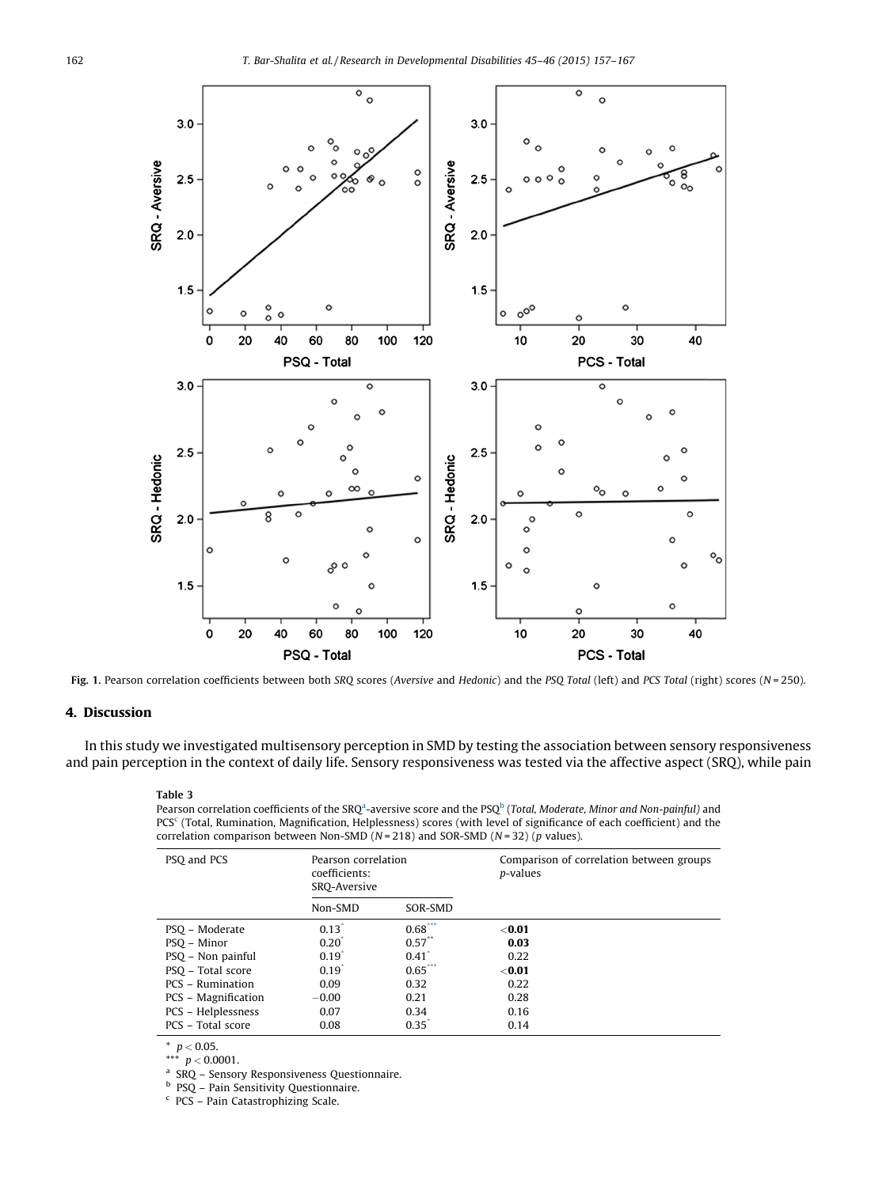<span id="page-5-0"></span>

Fig. 1. Pearson correlation coefficients between both SRQ scores (Aversive and Hedonic) and the PSQ Total (left) and PCS Total (right) scores (N = 250).

## 4. Discussion

In this study we investigated multisensory perception in SMD by testing the association between sensory responsiveness and pain perception in the context of daily life. Sensory responsiveness was tested via the affective aspect (SRQ), while pain

Table 3<br>Pearson correlation coefficients of the SRQª-aversive score and the PSQ<sup>b</sup> (*Total, Moderate, Minor and Non-painful)* and PCS<sup>c</sup> (Total, Rumination, Magnification, Helplessness) scores (with level of significance of each coefficient) and the correlation comparison between Non-SMD ( $N = 218$ ) and SOR-SMD ( $N = 32$ ) ( $p$  values).

| PSQ and PCS         | Pearson correlation<br>coefficients:<br>SRO-Aversive |                      | Comparison of correlation between groups<br><i>p</i> -values |  |  |
|---------------------|------------------------------------------------------|----------------------|--------------------------------------------------------------|--|--|
|                     | Non-SMD                                              | SOR-SMD              |                                                              |  |  |
| PSO - Moderate      | $0.13^{\degree}$                                     | 0.68                 | $<$ 0.01                                                     |  |  |
| PSO - Minor         | $0.20^{*}$                                           | $0.57$ <sup>**</sup> | 0.03                                                         |  |  |
| PSQ - Non painful   | 0.19                                                 | $0.41$ <sup>*</sup>  | 0.22                                                         |  |  |
| PSO - Total score   | 0.19                                                 | 0.65                 | $<$ 0.01                                                     |  |  |
| PCS - Rumination    | 0.09                                                 | 0.32                 | 0.22                                                         |  |  |
| PCS – Magnification | $-0.00$                                              | 0.21                 | 0.28                                                         |  |  |
| PCS - Helplessness  | 0.07                                                 | 0.34                 | 0.16                                                         |  |  |
| PCS - Total score   | 0.08                                                 | $0.35^{\degree}$     | 0.14                                                         |  |  |

 $p < 0.05$ .

 $p < 0.0001$ .

<sup>a</sup> SRQ – Sensory Responsiveness Questionnaire.

**b** PSQ – Pain Sensitivity Questionnaire.

<sup>c</sup> PCS – Pain Catastrophizing Scale.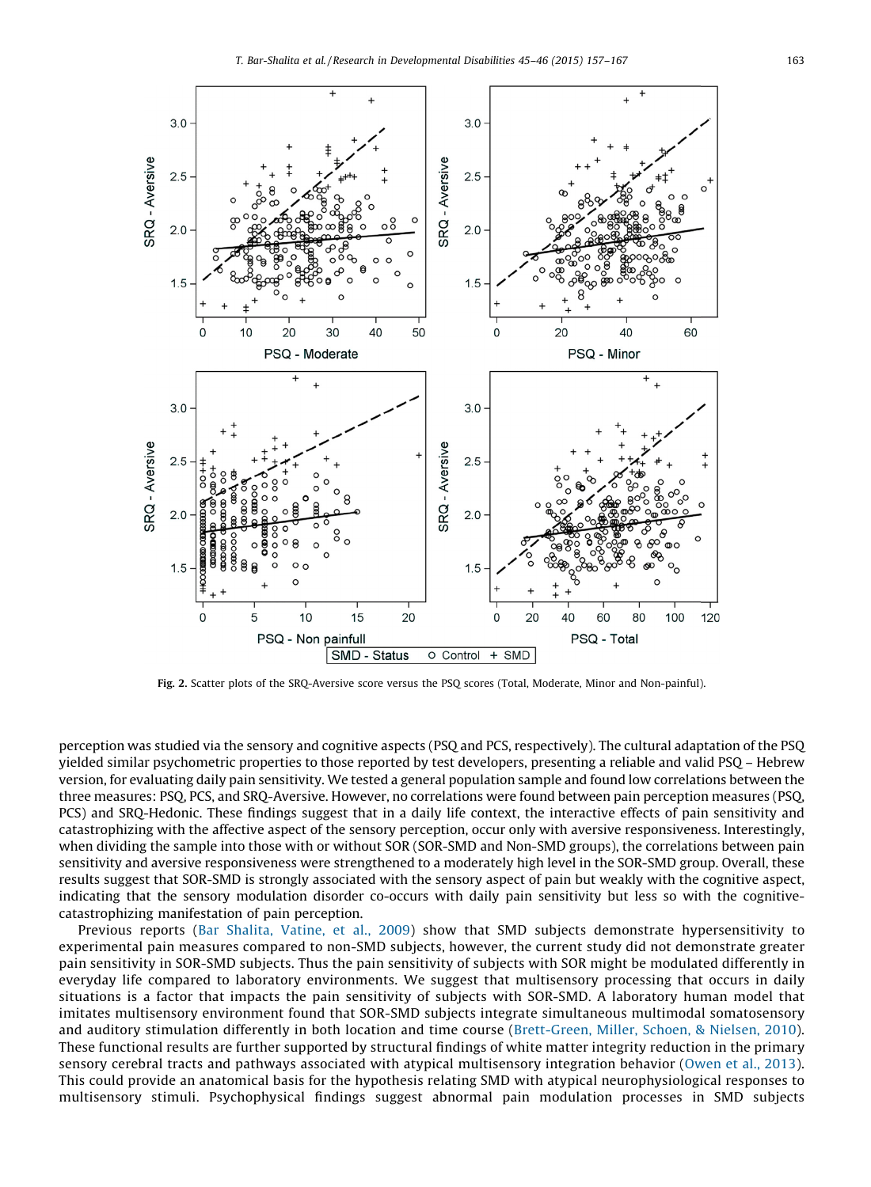<span id="page-6-0"></span>

Fig. 2. Scatter plots of the SRQ-Aversive score versus the PSQ scores (Total, Moderate, Minor and Non-painful).

perception was studied via the sensory and cognitive aspects (PSQ and PCS, respectively). The cultural adaptation of the PSQ yielded similar psychometric properties to those reported by test developers, presenting a reliable and valid PSQ – Hebrew version, for evaluating daily pain sensitivity. We tested a general population sample and found low correlations between the three measures: PSQ, PCS, and SRQ-Aversive. However, no correlations were found between pain perception measures (PSQ, PCS) and SRQ-Hedonic. These findings suggest that in a daily life context, the interactive effects of pain sensitivity and catastrophizing with the affective aspect of the sensory perception, occur only with aversive responsiveness. Interestingly, when dividing the sample into those with or without SOR (SOR-SMD and Non-SMD groups), the correlations between pain sensitivity and aversive responsiveness were strengthened to a moderately high level in the SOR-SMD group. Overall, these results suggest that SOR-SMD is strongly associated with the sensory aspect of pain but weakly with the cognitive aspect, indicating that the sensory modulation disorder co-occurs with daily pain sensitivity but less so with the cognitivecatastrophizing manifestation of pain perception.

Previous reports ([Bar Shalita, Vatine, et al., 2009\)](#page-8-0) show that SMD subjects demonstrate hypersensitivity to experimental pain measures compared to non-SMD subjects, however, the current study did not demonstrate greater pain sensitivity in SOR-SMD subjects. Thus the pain sensitivity of subjects with SOR might be modulated differently in everyday life compared to laboratory environments. We suggest that multisensory processing that occurs in daily situations is a factor that impacts the pain sensitivity of subjects with SOR-SMD. A laboratory human model that imitates multisensory environment found that SOR-SMD subjects integrate simultaneous multimodal somatosensory and auditory stimulation differently in both location and time course [\(Brett-Green, Miller, Schoen, & Nielsen, 2010\)](#page-9-0). These functional results are further supported by structural findings of white matter integrity reduction in the primary sensory cerebral tracts and pathways associated with atypical multisensory integration behavior [\(Owen et al., 2013\)](#page-9-0). This could provide an anatomical basis for the hypothesis relating SMD with atypical neurophysiological responses to multisensory stimuli. Psychophysical findings suggest abnormal pain modulation processes in SMD subjects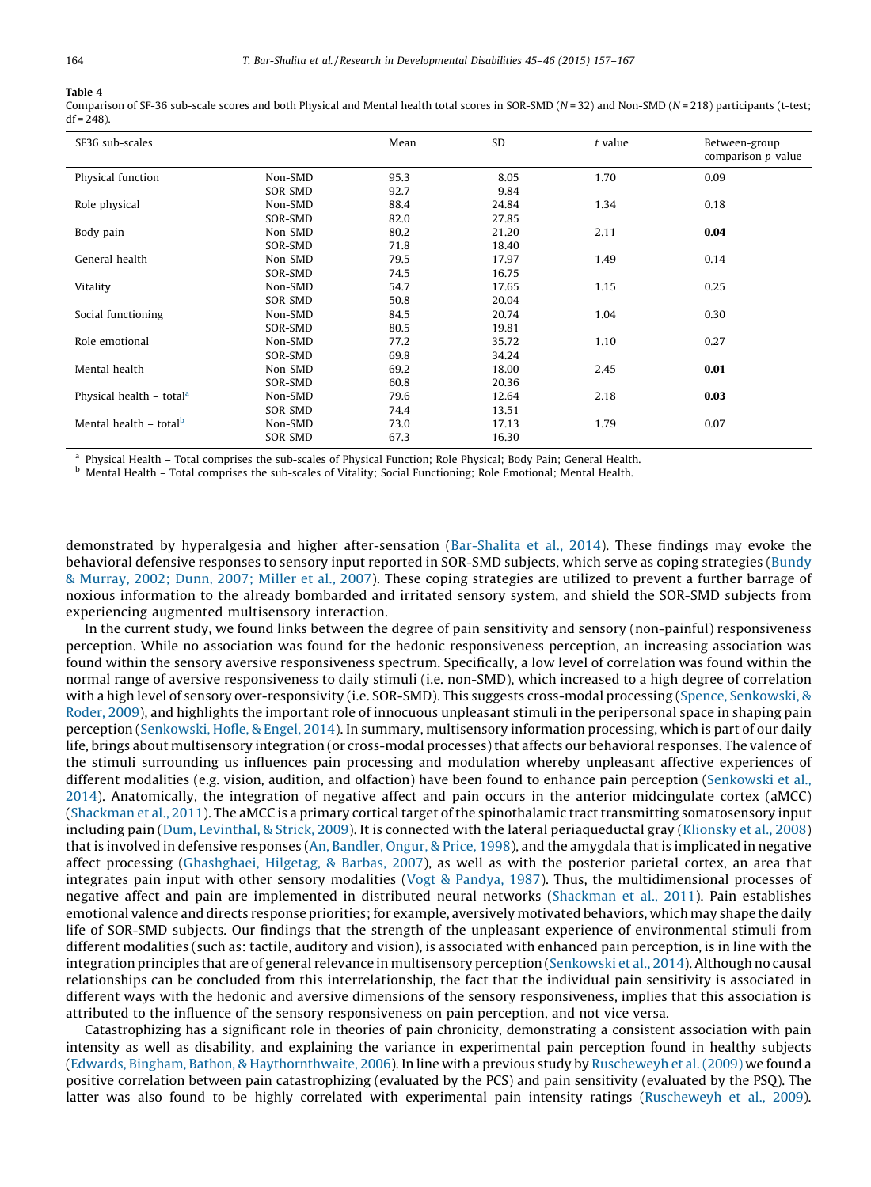## <span id="page-7-0"></span>Table 4

Comparison of SF-36 sub-scale scores and both Physical and Mental health total scores in SOR-SMD ( $N = 32$ ) and Non-SMD ( $N = 218$ ) participants (t-test;  $df = 248$ ).

| SF36 sub-scales                        |                    | Mean         | <b>SD</b>      | $t$ value | Between-group<br>comparison p-value |
|----------------------------------------|--------------------|--------------|----------------|-----------|-------------------------------------|
| Physical function                      | Non-SMD<br>SOR-SMD | 95.3<br>92.7 | 8.05<br>9.84   | 1.70      | 0.09                                |
| Role physical                          | Non-SMD<br>SOR-SMD | 88.4<br>82.0 | 24.84<br>27.85 | 1.34      | 0.18                                |
| Body pain                              | Non-SMD<br>SOR-SMD | 80.2<br>71.8 | 21.20<br>18.40 | 2.11      | 0.04                                |
| General health                         | Non-SMD<br>SOR-SMD | 79.5<br>74.5 | 17.97<br>16.75 | 1.49      | 0.14                                |
| Vitality                               | Non-SMD<br>SOR-SMD | 54.7<br>50.8 | 17.65<br>20.04 | 1.15      | 0.25                                |
| Social functioning                     | Non-SMD<br>SOR-SMD | 84.5<br>80.5 | 20.74<br>19.81 | 1.04      | 0.30                                |
| Role emotional                         | Non-SMD<br>SOR-SMD | 77.2<br>69.8 | 35.72<br>34.24 | 1.10      | 0.27                                |
| Mental health                          | Non-SMD<br>SOR-SMD | 69.2<br>60.8 | 18.00<br>20.36 | 2.45      | 0.01                                |
| Physical health $-$ total <sup>a</sup> | Non-SMD<br>SOR-SMD | 79.6<br>74.4 | 12.64<br>13.51 | 2.18      | 0.03                                |
| Mental health $-$ total <sup>b</sup>   | Non-SMD<br>SOR-SMD | 73.0<br>67.3 | 17.13<br>16.30 | 1.79      | 0.07                                |

<sup>a</sup> Physical Health – Total comprises the sub-scales of Physical Function; Role Physical; Body Pain; General Health.

<sup>b</sup> Mental Health – Total comprises the sub-scales of Vitality; Social Functioning; Role Emotional; Mental Health.

demonstrated by hyperalgesia and higher after-sensation ([Bar-Shalita et al., 2014\)](#page-8-0). These findings may evoke the behavioral defensive responses to sensory input reported in SOR-SMD subjects, which serve as coping strategies [\(Bundy](#page-9-0) [& Murray, 2002; Dunn, 2007; Miller et al., 2007\)](#page-9-0). These coping strategies are utilized to prevent a further barrage of noxious information to the already bombarded and irritated sensory system, and shield the SOR-SMD subjects from experiencing augmented multisensory interaction.

In the current study, we found links between the degree of pain sensitivity and sensory (non-painful) responsiveness perception. While no association was found for the hedonic responsiveness perception, an increasing association was found within the sensory aversive responsiveness spectrum. Specifically, a low level of correlation was found within the normal range of aversive responsiveness to daily stimuli (i.e. non-SMD), which increased to a high degree of correlation with a high level of sensory over-responsivity (i.e. SOR-SMD). This suggests cross-modal processing [\(Spence, Senkowski, &](#page-9-0) [Roder, 2009](#page-9-0)), and highlights the important role of innocuous unpleasant stimuli in the peripersonal space in shaping pain perception ([Senkowski, Hofle, & Engel, 2014\)](#page-9-0). In summary, multisensory information processing, which is part of our daily life, brings about multisensory integration (or cross-modal processes) that affects our behavioral responses. The valence of the stimuli surrounding us influences pain processing and modulation whereby unpleasant affective experiences of different modalities (e.g. vision, audition, and olfaction) have been found to enhance pain perception [\(Senkowski et al.,](#page-9-0) [2014\)](#page-9-0). Anatomically, the integration of negative affect and pain occurs in the anterior midcingulate cortex (aMCC) [\(Shackman et al., 2011](#page-9-0)). The aMCC is a primary cortical target of the spinothalamic tract transmitting somatosensory input including pain ([Dum, Levinthal, & Strick, 2009](#page-9-0)). It is connected with the lateral periaqueductal gray ([Klionsky et al., 2008](#page-9-0)) that is involved in defensive responses [\(An, Bandler, Ongur, & Price, 1998](#page-8-0)), and the amygdala that is implicated in negative affect processing ([Ghashghaei, Hilgetag, & Barbas, 2007\)](#page-9-0), as well as with the posterior parietal cortex, an area that integrates pain input with other sensory modalities [\(Vogt & Pandya, 1987](#page-10-0)). Thus, the multidimensional processes of negative affect and pain are implemented in distributed neural networks [\(Shackman et al., 2011\)](#page-9-0). Pain establishes emotional valence and directs response priorities; for example, aversively motivated behaviors, which may shape the daily life of SOR-SMD subjects. Our findings that the strength of the unpleasant experience of environmental stimuli from different modalities (such as: tactile, auditory and vision), is associated with enhanced pain perception, is in line with the integration principles that are of general relevance in multisensory perception ([Senkowski et al., 2014\)](#page-9-0). Although no causal relationships can be concluded from this interrelationship, the fact that the individual pain sensitivity is associated in different ways with the hedonic and aversive dimensions of the sensory responsiveness, implies that this association is attributed to the influence of the sensory responsiveness on pain perception, and not vice versa.

Catastrophizing has a significant role in theories of pain chronicity, demonstrating a consistent association with pain intensity as well as disability, and explaining the variance in experimental pain perception found in healthy subjects [\(Edwards, Bingham, Bathon, & Haythornthwaite, 2006\)](#page-9-0). In line with a previous study by [Ruscheweyh et al. \(2009\)](#page-9-0) we found a positive correlation between pain catastrophizing (evaluated by the PCS) and pain sensitivity (evaluated by the PSQ). The latter was also found to be highly correlated with experimental pain intensity ratings [\(Ruscheweyh et al., 2009](#page-9-0)).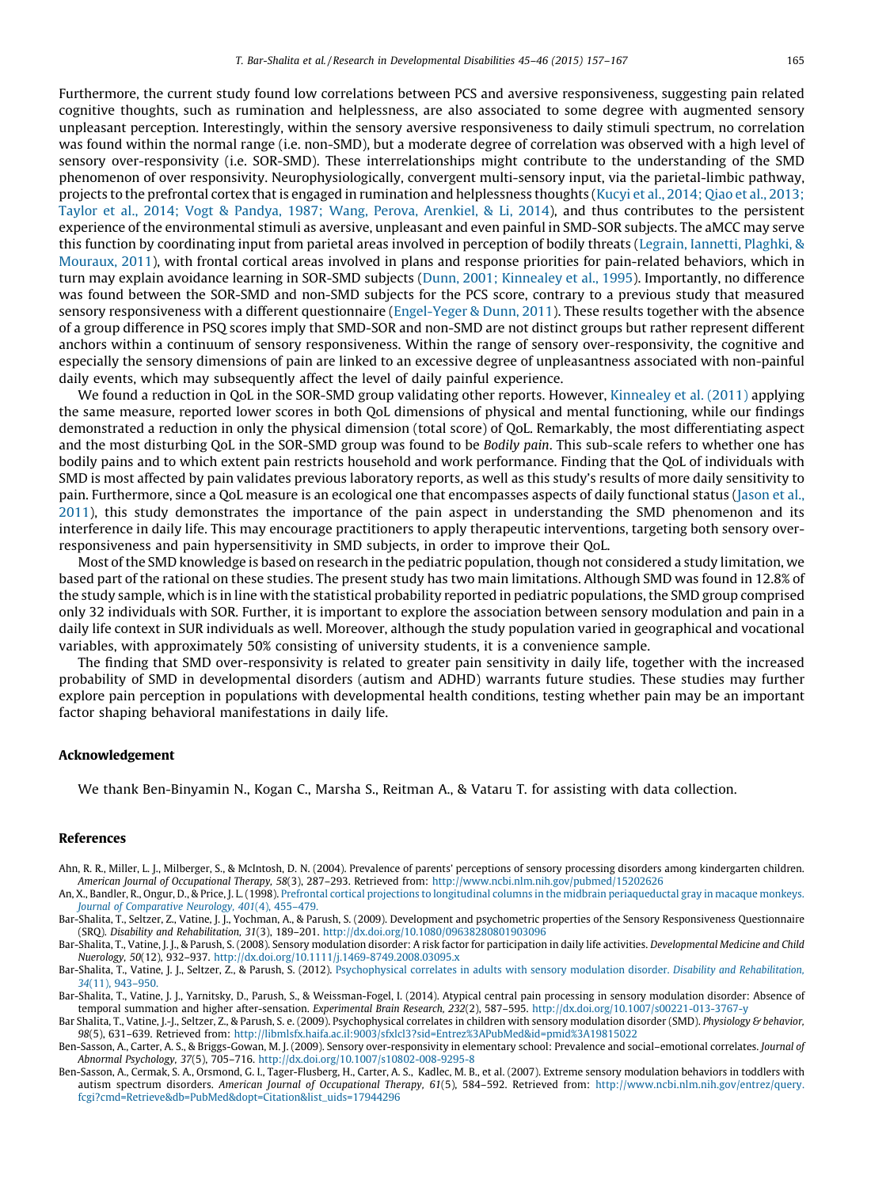<span id="page-8-0"></span>Furthermore, the current study found low correlations between PCS and aversive responsiveness, suggesting pain related cognitive thoughts, such as rumination and helplessness, are also associated to some degree with augmented sensory unpleasant perception. Interestingly, within the sensory aversive responsiveness to daily stimuli spectrum, no correlation was found within the normal range (i.e. non-SMD), but a moderate degree of correlation was observed with a high level of sensory over-responsivity (i.e. SOR-SMD). These interrelationships might contribute to the understanding of the SMD phenomenon of over responsivity. Neurophysiologically, convergent multi-sensory input, via the parietal-limbic pathway, projects to the prefrontal cortex that is engaged in rumination and helplessness thoughts [\(Kucyi et al., 2014; Qiao et al., 2013;](#page-9-0) [Taylor et al., 2014; Vogt & Pandya, 1987; Wang, Perova, Arenkiel, & Li, 2014\)](#page-9-0), and thus contributes to the persistent experience of the environmental stimuli as aversive, unpleasant and even painful in SMD-SOR subjects. The aMCC may serve this function by coordinating input from parietal areas involved in perception of bodily threats ([Legrain, Iannetti, Plaghki, &](#page-9-0) [Mouraux, 2011](#page-9-0)), with frontal cortical areas involved in plans and response priorities for pain-related behaviors, which in turn may explain avoidance learning in SOR-SMD subjects [\(Dunn, 2001; Kinnealey et al., 1995\)](#page-9-0). Importantly, no difference was found between the SOR-SMD and non-SMD subjects for the PCS score, contrary to a previous study that measured sensory responsiveness with a different questionnaire [\(Engel-Yeger & Dunn, 2011\)](#page-9-0). These results together with the absence of a group difference in PSQ scores imply that SMD-SOR and non-SMD are not distinct groups but rather represent different anchors within a continuum of sensory responsiveness. Within the range of sensory over-responsivity, the cognitive and especially the sensory dimensions of pain are linked to an excessive degree of unpleasantness associated with non-painful daily events, which may subsequently affect the level of daily painful experience.

We found a reduction in QoL in the SOR-SMD group validating other reports. However, [Kinnealey et al. \(2011\)](#page-9-0) applying the same measure, reported lower scores in both QoL dimensions of physical and mental functioning, while our findings demonstrated a reduction in only the physical dimension (total score) of QoL. Remarkably, the most differentiating aspect and the most disturbing QoL in the SOR-SMD group was found to be Bodily pain. This sub-scale refers to whether one has bodily pains and to which extent pain restricts household and work performance. Finding that the QoL of individuals with SMD is most affected by pain validates previous laboratory reports, as well as this study's results of more daily sensitivity to pain. Furthermore, since a QoL measure is an ecological one that encompasses aspects of daily functional status [\(Jason et al.,](#page-9-0) [2011](#page-9-0)), this study demonstrates the importance of the pain aspect in understanding the SMD phenomenon and its interference in daily life. This may encourage practitioners to apply therapeutic interventions, targeting both sensory overresponsiveness and pain hypersensitivity in SMD subjects, in order to improve their QoL.

Most of the SMD knowledge is based on research in the pediatric population, though not considered a study limitation, we based part of the rational on these studies. The present study has two main limitations. Although SMD was found in 12.8% of the study sample, which is in line with the statistical probability reported in pediatric populations, the SMD group comprised only 32 individuals with SOR. Further, it is important to explore the association between sensory modulation and pain in a daily life context in SUR individuals as well. Moreover, although the study population varied in geographical and vocational variables, with approximately 50% consisting of university students, it is a convenience sample.

The finding that SMD over-responsivity is related to greater pain sensitivity in daily life, together with the increased probability of SMD in developmental disorders (autism and ADHD) warrants future studies. These studies may further explore pain perception in populations with developmental health conditions, testing whether pain may be an important factor shaping behavioral manifestations in daily life.

## Acknowledgement

We thank Ben-Binyamin N., Kogan C., Marsha S., Reitman A., & Vataru T. for assisting with data collection.

### References

- Ahn, R. R., Miller, L. J., Milberger, S., & McIntosh, D. N. (2004). Prevalence of parents' perceptions of sensory processing disorders among kindergarten children. American Journal of Occupational Therapy, 58(3), 287–293. Retrieved from: <http://www.ncbi.nlm.nih.gov/pubmed/15202626>
- An, X., Bandler, R., Ongur, D., & Price, J. L. (1998). [Prefrontal cortical projections to longitudinal columns in the midbrain periaqueductal gray in macaque monkeys.](http://refhub.elsevier.com/S0891-4222(15)00114-6/sbref0010) [Journal of Comparative Neurology, 401](http://refhub.elsevier.com/S0891-4222(15)00114-6/sbref0010)(4), 455–479.
- Bar-Shalita, T., Seltzer, Z., Vatine, J. J., Yochman, A., & Parush, S. (2009). Development and psychometric properties of the Sensory Responsiveness Questionnaire (SRQ). Disability and Rehabilitation, 31(3), 189–201. <http://dx.doi.org/10.1080/09638280801903096>
- Bar-Shalita, T., Vatine, J. J., & Parush, S. (2008). Sensory modulation disorder: A risk factor for participation in daily life activities. Developmental Medicine and Child Nuerology, 50(12), 932–937. <http://dx.doi.org/10.1111/j.1469-8749.2008.03095.x>
- Bar-Shalita, T., Vatine, J. J., Seltzer, Z., & Parush, S. (2012). [Psychophysical correlates in adults with sensory modulation disorder.](http://refhub.elsevier.com/S0891-4222(15)00114-6/sbref0025) Disability and Rehabilitation, 34[\(11\), 943–950.](http://refhub.elsevier.com/S0891-4222(15)00114-6/sbref0025)
- Bar-Shalita, T., Vatine, J. J., Yarnitsky, D., Parush, S., & Weissman-Fogel, I. (2014). Atypical central pain processing in sensory modulation disorder: Absence of temporal summation and higher after-sensation. Experimental Brain Research, 232(2), 587-595. <http://dx.doi.org/10.1007/s00221-013-3767-y>
- Bar Shalita, T., Vatine, J.-J., Seltzer, Z., & Parush, S. e. (2009). Psychophysical correlates in children with sensory modulation disorder (SMD). Physiology & behavior, 98(5), 631–639. Retrieved from: [http://libmlsfx.haifa.ac.il:9003/sfxlcl3?sid=Entrez%3APubMed&id=pmid%3A19815022](http://libmlsfx.haifa.ac.il:9003/sfxlcl3?sid=Entrez:PubMed&id=pmid:19815022)
- Ben-Sasson, A., Carter, A. S., & Briggs-Gowan, M. J. (2009). Sensory over-responsivity in elementary school: Prevalence and social-emotional correlates. Journal of Abnormal Psychology, 37(5), 705–716. <http://dx.doi.org/10.1007/s10802-008-9295-8>
- Ben-Sasson, A., Cermak, S. A., Orsmond, G. I., Tager-Flusberg, H., Carter, A. S., Kadlec, M. B., et al. (2007). Extreme sensory modulation behaviors in toddlers with autism spectrum disorders. American Journal of Occupational Therapy, 61(5), 584-592. Retrieved from: [http://www.ncbi.nlm.nih.gov/entrez/query.](http://www.ncbi.nlm.nih.gov/entrez/query.fcgi?cmd=Retrieve&db=PubMed&dopt=Citation&list_uids=17944296) [fcgi?cmd=Retrieve&db=PubMed&dopt=Citation&list\\_uids=17944296](http://www.ncbi.nlm.nih.gov/entrez/query.fcgi?cmd=Retrieve&db=PubMed&dopt=Citation&list_uids=17944296)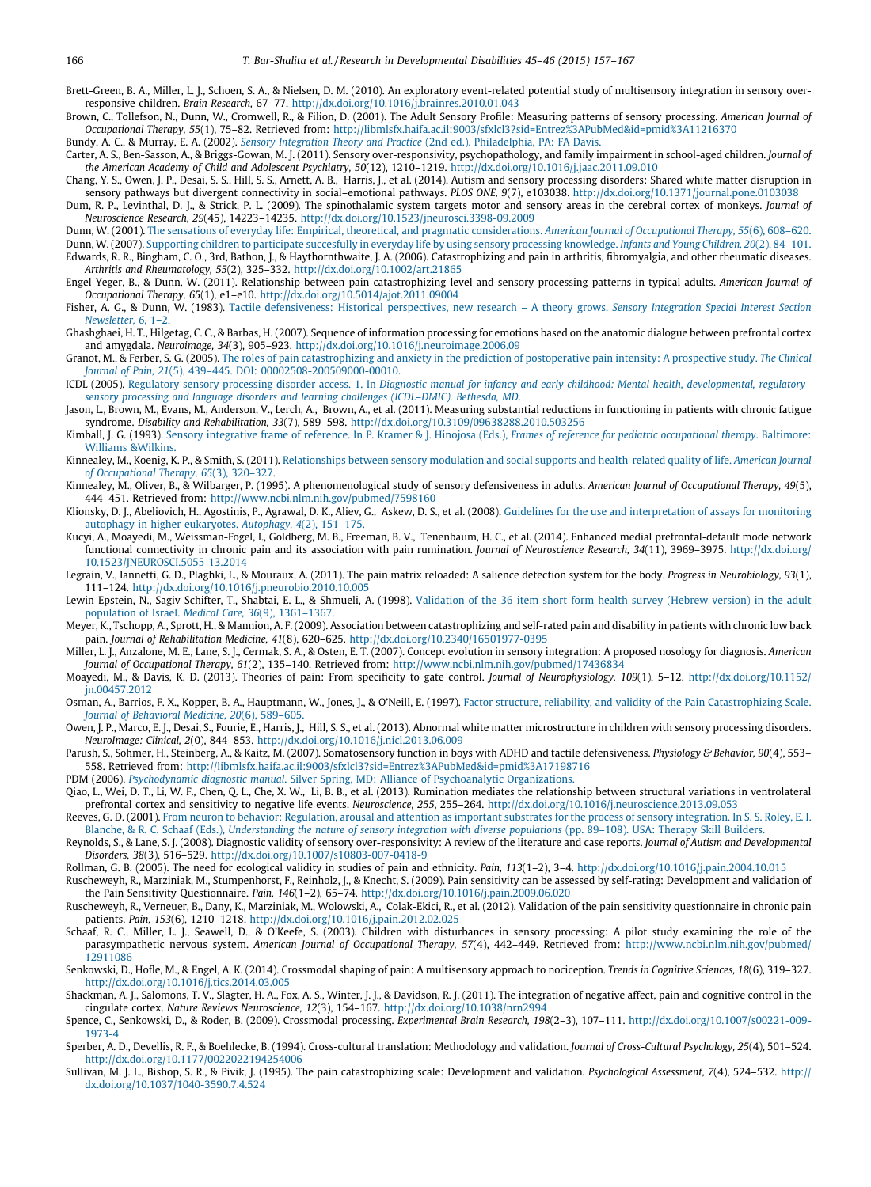- <span id="page-9-0"></span>Brett-Green, B. A., Miller, L. J., Schoen, S. A., & Nielsen, D. M. (2010). An exploratory event-related potential study of multisensory integration in sensory overresponsive children. Brain Research, 67–77. <http://dx.doi.org/10.1016/j.brainres.2010.01.043>
- Brown, C., Tollefson, N., Dunn, W., Cromwell, R., & Filion, D. (2001). The Adult Sensory Profile: Measuring patterns of sensory processing. American Journal of Occupational Therapy, 55(1), 75–82. Retrieved from: [http://libmlsfx.haifa.ac.il:9003/sfxlcl3?sid=Entrez%3APubMed&id=pmid%3A11216370](http://libmlsfx.haifa.ac.il:9003/sfxlcl3?sid=Entrez:PubMed&id=pmid:11216370) Bundy, A. C., & Murray, E. A. (2002). [Sensory Integration Theory and Practice](http://refhub.elsevier.com/S0891-4222(15)00114-6/sbref0060) (2nd ed.). Philadelphia, PA: FA Davis.
- Carter, A. S., Ben-Sasson, A., & Briggs-Gowan, M. J. (2011). Sensory over-responsivity, psychopathology, and family impairment in school-aged children. Journal of the American Academy of Child and Adolescent Psychiatry, 50(12), 1210–1219. <http://dx.doi.org/10.1016/j.jaac.2011.09.010>
- Chang, Y. S., Owen, J. P., Desai, S. S., Hill, S. S., Arnett, A. B., Harris, J., et al. (2014). Autism and sensory processing disorders: Shared white matter disruption in sensory pathways but divergent connectivity in social–emotional pathways. PLOS ONE, 9(7), e103038. <http://dx.doi.org/10.1371/journal.pone.0103038>
- Dum, R. P., Levinthal, D. J., & Strick, P. L. (2009). The spinothalamic system targets motor and sensory areas in the cerebral cortex of monkeys. Journal of Neuroscience Research, 29(45), 14223–14235. <http://dx.doi.org/10.1523/jneurosci.3398-09.2009>

Dunn, W. (2001). [The sensations of everyday life: Empirical, theoretical, and pragmatic considerations.](http://refhub.elsevier.com/S0891-4222(15)00114-6/sbref0080) American Journal of Occupational Therapy, 55(6), 608–620.

- Dunn, W. (2007). [Supporting children to participate succesfully in everyday life by using sensory processing knowledge.](http://refhub.elsevier.com/S0891-4222(15)00114-6/sbref0085) Infants and Young Children, 20(2), 84–101. Edwards, R. R., Bingham, C. O., 3rd, Bathon, J., & Haythornthwaite, J. A. (2006). Catastrophizing and pain in arthritis, fibromyalgia, and other rheumatic diseases. Arthritis and Rheumatology, 55(2), 325–332. <http://dx.doi.org/10.1002/art.21865>
- Engel-Yeger, B., & Dunn, W. (2011). Relationship between pain catastrophizing level and sensory processing patterns in typical adults. American Journal of Occupational Therapy, 65(1), e1–e10. <http://dx.doi.org/10.5014/ajot.2011.09004>
- Fisher, A. G., & Dunn, W. (1983). [Tactile defensiveness: Historical perspectives, new research A theory grows.](http://refhub.elsevier.com/S0891-4222(15)00114-6/sbref0100) Sensory Integration Special Interest Section [Newsletter, 6](http://refhub.elsevier.com/S0891-4222(15)00114-6/sbref0100), 1–2.
- Ghashghaei, H. T., Hilgetag, C. C., & Barbas, H. (2007). Sequence of information processing for emotions based on the anatomic dialogue between prefrontal cortex and amygdala. Neuroimage, 34(3), 905–923. <http://dx.doi.org/10.1016/j.neuroimage.2006.09>
- Granot, M., & Ferber, S. G. (2005). [The roles of pain catastrophizing and anxiety in the prediction of postoperative pain intensity: A prospective study.](http://refhub.elsevier.com/S0891-4222(15)00114-6/sbref0110) The Clinical Journal of Pain, 21[\(5\), 439–445. DOI: 00002508-200509000-00010](http://refhub.elsevier.com/S0891-4222(15)00114-6/sbref0110).
- ICDL (2005). Regulatory sensory processing disorder access. 1. In [Diagnostic manual for infancy and early childhood: Mental health, developmental, regulatory–](http://refhub.elsevier.com/S0891-4222(15)00114-6/sbref0115) [sensory processing and language disorders and learning challenges \(ICDL–DMIC\). Bethesda, MD](http://refhub.elsevier.com/S0891-4222(15)00114-6/sbref0115).
- Jason, L., Brown, M., Evans, M., Anderson, V., Lerch, A., Brown, A., et al. (2011). Measuring substantial reductions in functioning in patients with chronic fatigue syndrome. Disability and Rehabilitation, 33(7), 589–598. <http://dx.doi.org/10.3109/09638288.2010.503256>
- Kimball, J. G. (1993). [Sensory integrative frame of reference. In P. Kramer & J. Hinojosa \(Eds.\),](http://refhub.elsevier.com/S0891-4222(15)00114-6/sbref0125) Frames of reference for pediatric occupational therapy. Baltimore: [Williams &Wilkins.](http://refhub.elsevier.com/S0891-4222(15)00114-6/sbref0125)
- Kinnealey, M., Koenig, K. P., & Smith, S. (2011). [Relationships between sensory modulation and social supports and health-related quality of life.](http://refhub.elsevier.com/S0891-4222(15)00114-6/sbref0130) American Journal [of Occupational Therapy, 65](http://refhub.elsevier.com/S0891-4222(15)00114-6/sbref0130)(3), 320–327.
- Kinnealey, M., Oliver, B., & Wilbarger, P. (1995). A phenomenological study of sensory defensiveness in adults. American Journal of Occupational Therapy, 49(5), 444–451. Retrieved from: <http://www.ncbi.nlm.nih.gov/pubmed/7598160>
- Klionsky, D. J., Abeliovich, H., Agostinis, P., Agrawal, D. K., Aliev, G., Askew, D. S., et al. (2008). [Guidelines for the use and interpretation of assays for monitoring](http://refhub.elsevier.com/S0891-4222(15)00114-6/sbref0140) [autophagy in higher eukaryotes.](http://refhub.elsevier.com/S0891-4222(15)00114-6/sbref0140) Autophagy, 4(2), 151–175.
- Kucyi, A., Moayedi, M., Weissman-Fogel, I., Goldberg, M. B., Freeman, B. V., Tenenbaum, H. C., et al. (2014). Enhanced medial prefrontal-default mode network functional connectivity in chronic pain and its association with pain rumination. Journal of Neuroscience Research, 34(11), 3969-3975. [http://dx.doi.org/](http://dx.doi.org/10.1523/JNEUROSCI.5055-13.2014) [10.1523/JNEUROSCI.5055-13.2014](http://dx.doi.org/10.1523/JNEUROSCI.5055-13.2014)
- Legrain, V., Iannetti, G. D., Plaghki, L., & Mouraux, A. (2011). The pain matrix reloaded: A salience detection system for the body. Progress in Neurobiology, 93(1), 111–124. <http://dx.doi.org/10.1016/j.pneurobio.2010.10.005>
- Lewin-Epstein, N., Sagiv-Schifter, T., Shabtai, E. L., & Shmueli, A. (1998). [Validation of the 36-item short-form health survey \(Hebrew version\) in the adult](http://refhub.elsevier.com/S0891-4222(15)00114-6/sbref0152) [population of Israel.](http://refhub.elsevier.com/S0891-4222(15)00114-6/sbref0152) Medical Care, 36(9), 1361–1367.
- Meyer, K., Tschopp, A., Sprott, H., & Mannion, A. F. (2009). Association between catastrophizing and self-rated pain and disability in patients with chronic low back pain. Journal of Rehabilitation Medicine, 41(8), 620–625. <http://dx.doi.org/10.2340/16501977-0395>
- Miller, L. J., Anzalone, M. E., Lane, S. J., Cermak, S. A., & Osten, E. T. (2007). Concept evolution in sensory integration: A proposed nosology for diagnosis. American Journal of Occupational Therapy, 61(2), 135–140. Retrieved from: <http://www.ncbi.nlm.nih.gov/pubmed/17436834>
- Moayedi, M., & Davis, K. D. (2013). Theories of pain: From specificity to gate control. Journal of Neurophysiology, 109(1), 5–12. [http://dx.doi.org/10.1152/](http://dx.doi.org/10.1152/jn.00457.2012) in.00457.2012
- Osman, A., Barrios, F. X., Kopper, B. A., Hauptmann, W., Jones, J., & O'Neill, E. (1997). [Factor structure, reliability, and validity of the Pain Catastrophizing Scale.](http://refhub.elsevier.com/S0891-4222(15)00114-6/sbref0170) [Journal of Behavioral Medicine, 20](http://refhub.elsevier.com/S0891-4222(15)00114-6/sbref0170)(6), 589–605.
- Owen, J. P., Marco, E. J., Desai, S., Fourie, E., Harris, J., Hill, S. S., et al. (2013). Abnormal white matter microstructure in children with sensory processing disorders. NeuroImage: Clinical, 2(0), 844–853. <http://dx.doi.org/10.1016/j.nicl.2013.06.009>
- Parush, S., Sohmer, H., Steinberg, A., & Kaitz, M. (2007). Somatosensory function in boys with ADHD and tactile defensiveness. Physiology & Behavior, 90(4), 553-558. Retrieved from: [http://libmlsfx.haifa.ac.il:9003/sfxlcl3?sid=Entrez%3APubMed&id=pmid%3A17198716](http://libmlsfx.haifa.ac.il:9003/sfxlcl3?sid=Entrez:PubMed&id=pmid:17198716)
- PDM (2006). Psychodynamic diagnostic manual[. Silver Spring, MD: Alliance of Psychoanalytic Organizations.](http://refhub.elsevier.com/S0891-4222(15)00114-6/sbref0185)
- Qiao, L., Wei, D. T., Li, W. F., Chen, Q. L., Che, X. W., Li, B. B., et al. (2013). Rumination mediates the relationship between structural variations in ventrolateral prefrontal cortex and sensitivity to negative life events. Neuroscience, 255, 255–264. <http://dx.doi.org/10.1016/j.neuroscience.2013.09.053>
- Reeves, G. D. (2001). [From neuron to behavior: Regulation, arousal and attention as important substrates for the process of sensory integration. In S. S. Roley, E. I.](http://refhub.elsevier.com/S0891-4222(15)00114-6/sbref0195) Blanche, & R. C. Schaaf (Eds.), [Understanding the nature of sensory integration with diverse populations](http://refhub.elsevier.com/S0891-4222(15)00114-6/sbref0195) (pp. 89–108). USA: Therapy Skill Builders.
- Reynolds, S., & Lane, S. J. (2008). Diagnostic validity of sensory over-responsivity: A review of the literature and case reports. Journal of Autism and Developmental Disorders, 38(3), 516–529. <http://dx.doi.org/10.1007/s10803-007-0418-9>
- Rollman, G. B. (2005). The need for ecological validity in studies of pain and ethnicity. Pain, 113(1-2), 3-4. <http://dx.doi.org/10.1016/j.pain.2004.10.015>
- Ruscheweyh, R., Marziniak, M., Stumpenhorst, F., Reinholz, J., & Knecht, S. (2009). Pain sensitivity can be assessed by self-rating: Development and validation of
- the Pain Sensitivity Questionnaire. Pain, 146(1–2), 65–74. <http://dx.doi.org/10.1016/j.pain.2009.06.020> Ruscheweyh, R., Verneuer, B., Dany, K., Marziniak, M., Wolowski, A., Colak-Ekici, R., et al. (2012). Validation of the pain sensitivity questionnaire in chronic pain
- patients. Pain, 153(6), 1210–1218. <http://dx.doi.org/10.1016/j.pain.2012.02.025> Schaaf, R. C., Miller, L. J., Seawell, D., & O'Keefe, S. (2003). Children with disturbances in sensory processing: A pilot study examining the role of the parasympathetic nervous system. American Journal of Occupational Therapy, 57(4), 442-449. Retrieved from: [http://www.ncbi.nlm.nih.gov/pubmed/](http://www.ncbi.nlm.nih.gov/pubmed/12911086) [12911086](http://www.ncbi.nlm.nih.gov/pubmed/12911086)
- Senkowski, D., Hofle, M., & Engel, A. K. (2014). Crossmodal shaping of pain: A multisensory approach to nociception. Trends in Cognitive Sciences, 18(6), 319–327. <http://dx.doi.org/10.1016/j.tics.2014.03.005>
- Shackman, A. J., Salomons, T. V., Slagter, H. A., Fox, A. S., Winter, J. J., & Davidson, R. J. (2011). The integration of negative affect, pain and cognitive control in the cingulate cortex. Nature Reviews Neuroscience, 12(3), 154–167. <http://dx.doi.org/10.1038/nrn2994>
- Spence, C., Senkowski, D., & Roder, B. (2009). Crossmodal processing. Experimental Brain Research, 198(2–3), 107–111. [http://dx.doi.org/10.1007/s00221-009-](http://dx.doi.org/10.1007/s00221-009-1973-4) [1973-4](http://dx.doi.org/10.1007/s00221-009-1973-4)
- Sperber, A. D., Devellis, R. F., & Boehlecke, B. (1994). Cross-cultural translation: Methodology and validation. Journal of Cross-Cultural Psychology, 25(4), 501–524. <http://dx.doi.org/10.1177/0022022194254006>
- Sullivan, M. J. L., Bishop, S. R., & Pivik, J. (1995). The pain catastrophizing scale: Development and validation. Psychological Assessment, 7(4), 524–532. [http://](http://dx.doi.org/10.1037/1040-3590.7.4.524) [dx.doi.org/10.1037/1040-3590.7.4.524](http://dx.doi.org/10.1037/1040-3590.7.4.524)